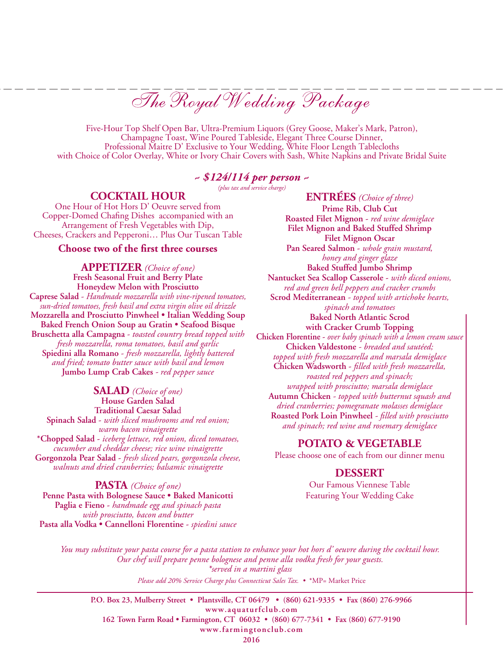The Royal Wedding Package

Five-Hour Top Shelf Open Bar, Ultra-Premium Liquors (Grey Goose, Maker's Mark, Patron), Champagne Toast, Wine Poured Tableside, Elegant Three Course Dinner, Professional Maitre D' Exclusive to Your Wedding, White Floor Length Tablecloths with Choice of Color Overlay, White or Ivory Chair Covers with Sash, White Napkins and Private Bridal Suite

# *~ \$124/114 per person ~*

*(plus tax and service charge)*

## **Cocktail Hour**

One Hour of Hot Hors D' Oeuvre served from Copper-Domed Chafing Dishes accompanied with an Arrangement of Fresh Vegetables with Dip, Cheeses, Crackers and Pepperoni… Plus Our Tuscan Table

#### **Choose two of the first three courses**

**APPETizer** *(Choice of one)* **Fresh Seasonal Fruit and Berry Plate Honeydew Melon with Prosciutto Caprese Salad** - *Handmade mozzarella with vine-ripened tomatoes, sun-dried tomatoes, fresh basil and extra virgin olive oil drizzle* **Mozzarella and Prosciutto Pinwheel • Italian Wedding Soup Baked French Onion Soup au Gratin • Seafood Bisque Bruschetta alla Campagna** - *toasted country bread topped with fresh mozzarella, roma tomatoes, basil and garlic* **Spiedini alla Romano** - *fresh mozzarella, lightly battered and fried; tomato butter sauce with basil and lemon* **Jumbo Lump Crab Cakes** *- red pepper sauce*

**Salad** *(Choice of one)* **House Garden Salad Traditional Caesar Sala**d **Spinach Salad -** *with sliced mushrooms and red onion; warm bacon vinaigrette* **\*Chopped Salad -** *iceberg lettuce, red onion, diced tomatoes, cucumber and cheddar cheese; rice wine vinaigrette* **Gorgonzola Pear Salad -** *fresh sliced pears, gorgonzola cheese, walnuts and dried cranberries; balsamic vinaigrette*

**PASTA** *(Choice of one)* **Penne Pasta with Bolognese Sauce • Baked Manicotti Paglia e Fieno -** *handmade egg and spinach pasta with prosciutto, bacon and butter* **Pasta alla Vodka • Cannelloni Florentine -** *spiedini sauce*

**Entrées** *(Choice of three)* **Prime Rib, Club Cut Roasted Filet Mignon -** *red wine demiglace* **Filet Mignon and Baked Stuffed Shrimp Filet Mignon Oscar Pan Seared Salmon -** *whole grain mustard, honey and ginger glaze* **Baked Stuffed Jumbo Shrimp Nantucket Sea Scallop Casserole -** *with diced onions, red and green bell peppers and cracker crumbs* **Scrod Mediterranean** *- topped with artichoke hearts, spinach and tomatoes* **Baked North Atlantic Scrod with Cracker Crumb Topping Chicken Florentine -** *over baby spinach with a lemon cream sauce* **Chicken Valdestone** *- breaded and sautéed; topped with fresh mozzarella and marsala demiglace* **Chicken Wadsworth -** *filled with fresh mozzarella, roasted red peppers and spinach; wrapped with prosciutto; marsala demiglace* **Autumn Chicken** *- topped with butternut squash and dried cranberries; pomegranate molasses demiglace* **Roasted Pork Loin Pinwheel** *- filled with prosciutto and spinach; red wine and rosemary demiglace*

## **potato & vegetable**

Please choose one of each from our dinner menu

#### **Dessert**

Our Famous Viennese Table Featuring Your Wedding Cake

*Please add 20% Service Charge plus Connecticut Sales Tax. •* \*MP= Market Price *You may substitute your pasta course for a pasta station to enhance your hot hors d' oeuvre during the cocktail hour. Our chef will prepare penne bolognese and penne alla vodka fresh for your guests. \*served in a martini glass*

**P.O. Box 23, Mulberry Street • Plantsville, CT 06479 • (860) 621-9335 • Fax (860) 276-9966 www.aquaturfclub.com 162 Town Farm Road • Farmington, CT 06032 • (860) 677-7341 • Fax (860) 677-9190 www.farmingtonclub.com**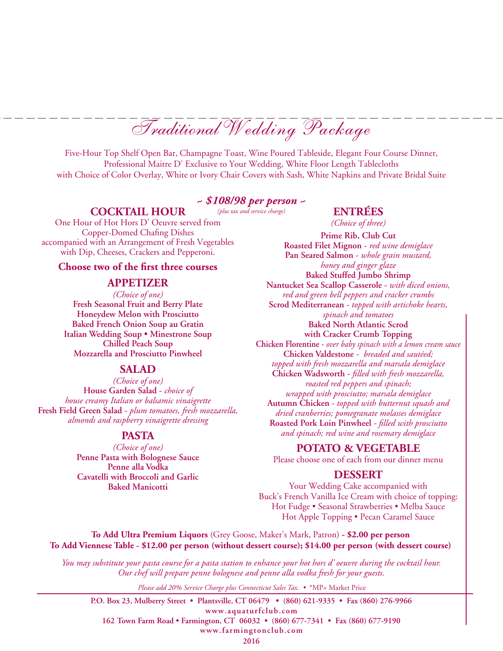Five-Hour Top Shelf Open Bar, Champagne Toast, Wine Poured Tableside, Elegant Four Course Dinner, Professional Maitre D' Exclusive to Your Wedding, White Floor Length Tablecloths with Choice of Color Overlay, White or Ivory Chair Covers with Sash, White Napkins and Private Bridal Suite

# *~ \$108/98 per person ~*

### **Cocktail** *(plus tax and service charge)* **Hour**

# **EntréeS**

*(Choice of three)* **Prime Rib, Club Cut**

**Roasted Filet Mignon -** *red wine demiglace* **Pan Seared Salmon -** *whole grain mustard,* 

One Hour of Hot Hors D' Oeuvre served from Copper-Domed Chafing Dishes accompanied with an Arrangement of Fresh Vegetables with Dip, Cheeses, Crackers and Pepperoni.

#### **Choose two of the first three courses**

#### **APPETizer**

*(Choice of one)* **Fresh Seasonal Fruit and Berry Plate Honeydew Melon with Prosciutto Baked French Onion Soup au Gratin Italian Wedding Soup • Minestrone Soup Chilled Peach Soup Mozzarella and Prosciutto Pinwheel**

#### **Salad**

*(Choice of one)* **House Garden Salad -** *choice of house creamy Italian or balsamic vinaigrette* **Fresh Field Green Salad -** *plum tomatoes, fresh mozzarella, almonds and raspberry vinaigrette dressing*

## **PASTA**

*(Choice of one)* **Penne Pasta with Bolognese Sauce Penne alla Vodka Cavatelli with Broccoli and Garlic Baked Manicotti**

*honey and ginger glaze* **Baked Stuffed Jumbo Shrimp Nantucket Sea Scallop Casserole -** *with diced onions, red and green bell peppers and cracker crumbs* **Scrod Mediterranean** *- topped with artichoke hearts, spinach and tomatoes* **Baked North Atlantic Scrod with Cracker Crumb Topping Chicken Florentine -** *over baby spinach with a lemon cream sauce* **Chicken Valdestone** *- breaded and sautéed; topped with fresh mozzarella and marsala demiglace* **Chicken Wadsworth -** *filled with fresh mozzarella, roasted red peppers and spinach; wrapped with prosciutto; marsala demiglace* **Autumn Chicken** *- topped with butternut squash and dried cranberries; pomegranate molasses demiglace* **Roasted Pork Loin Pinwheel** *- filled with prosciutto and spinach; red wine and rosemary demiglace*

## **POTATO & VEGETABLE**

Please choose one of each from our dinner menu

## **Dessert**

Your Wedding Cake accompanied with Buck's French Vanilla Ice Cream with choice of topping: Hot Fudge • Seasonal Strawberries • Melba Sauce Hot Apple Topping • Pecan Caramel Sauce

**To Add Ultra Premium Liquors** (Grey Goose, Maker's Mark, Patron) **- \$2.00 per person To Add Viennese Table - \$12.00 per person (without dessert course); \$14.00 per person (with dessert course)**

*You may substitute your pasta course for a pasta station to enhance your hot hors d' oeuvre during the cocktail hour. Our chef will prepare penne bolognese and penne alla vodka fresh for your guests.*

*Please add 20% Service Charge plus Connecticut Sales Tax. •* \*MP= Market Price

**P.O. Box 23, Mulberry Street • Plantsville, CT 06479 • (860) 621-9335 • Fax (860) 276-9966 www.aquaturfclub.com 162 Town Farm Road • Farmington, CT 06032 • (860) 677-7341 • Fax (860) 677-9190 www.farmingtonclub.com**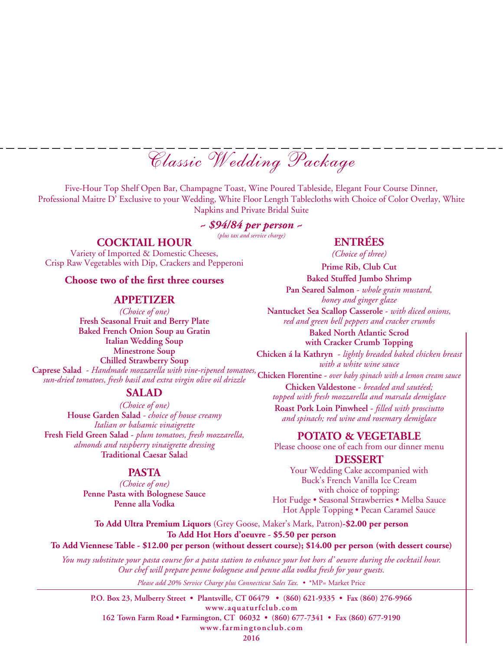Classic Wedding Package

Five-Hour Top Shelf Open Bar, Champagne Toast, Wine Poured Tableside, Elegant Four Course Dinner, Professional Maitre D' Exclusive to your Wedding, White Floor Length Tablecloths with Choice of Color Overlay, White Napkins and Private Bridal Suite

## *~ \$94/84 per person ~*

*(plus tax and service charge)*

## **COCKTAIL HOUR**

Variety of Imported & Domestic Cheeses, Crisp Raw Vegetables with Dip, Crackers and Pepperoni

#### **Choose two of the first three courses**

#### **APPETizer**

*(Choice of one)* **Fresh Seasonal Fruit and Berry Plate Baked French Onion Soup au Gratin Italian Wedding Soup Minestrone Soup Chilled Strawberry Soup Caprese Salad** - *Handmade mozzarella with vine-ripened tomatoes, sun-dried tomatoes, fresh basil and extra virgin olive oil drizzle*

## **Salad**

*(Choice of one)* **House Garden Salad** *- choice of house creamy Italian or balsamic vinaigrette* **Fresh Field Green Salad -** *plum tomatoes, fresh mozzarella, almonds and raspberry vinaigrette dressing* **Traditional Caesar Sala**d

## **Pasta**

*(Choice of one)* **Penne Pasta with Bolognese Sauce Penne alla Vodka**

## **Entrées**

*(Choice of three)*

**Prime Rib, Club Cut Baked Stuffed Jumbo Shrimp**

**Pan Seared Salmon** - *whole grain mustard, honey and ginger glaze*

**Nantucket Sea Scallop Casserole -** *with diced onions, red and green bell peppers and cracker crumbs*

**Baked North Atlantic Scrod with Cracker Crumb Topping**

**Chicken á la Kathryn -** *lightly breaded baked chicken breast with a white wine sauce*

**Chicken Florentine -** *over baby spinach with a lemon cream sauce*  **Chicken Valdestone -** *breaded and sautéed; topped with fresh mozzarella and marsala demiglace* **Roast Pork Loin Pinwheel -** *filled with prosciutto* 

*and spinach; red wine and rosemary demiglace* 

#### **POTATO & VEGETABLE**

Please choose one of each from our dinner menu

#### **Dessert**

Your Wedding Cake accompanied with Buck's French Vanilla Ice Cream with choice of topping: Hot Fudge • Seasonal Strawberries • Melba Sauce Hot Apple Topping • Pecan Caramel Sauce

**To Add Ultra Premium Liquors** (Grey Goose, Maker's Mark, Patron)**-\$2.00 per person To Add Hot Hors d'oeuvre - \$5.50 per person**

**To Add Viennese Table - \$12.00 per person (without dessert course); \$14.00 per person (with dessert course)**

*Please add 20% Service Charge plus Connecticut Sales Tax. •* \*MP= Market Price *You may substitute your pasta course for a pasta station to enhance your hot hors d' oeuvre during the cocktail hour. Our chef will prepare penne bolognese and penne alla vodka fresh for your guests.*

**P.O. Box 23, Mulberry Street • Plantsville, CT 06479 • (860) 621-9335 • Fax (860) 276-9966 www.aquaturfclub.com 162 Town Farm Road • Farmington, CT 06032 • (860) 677-7341 • Fax (860) 677-9190 www.farmingtonclub.com**

**2016**